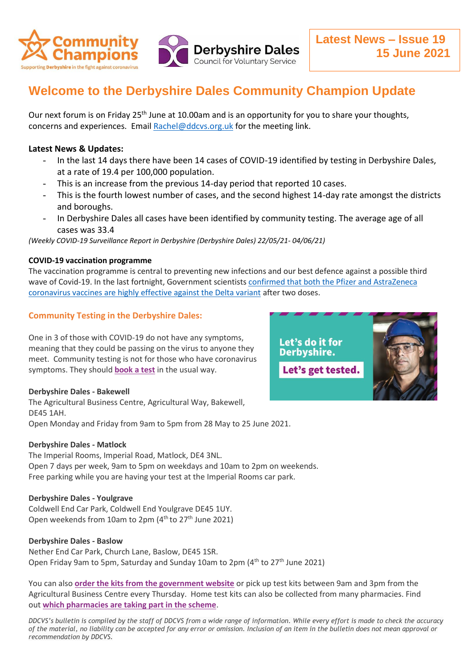

# **Welcome to the Derbyshire Dales Community Champion Update**

Our next forum is on Friday 25<sup>th</sup> June at 10.00am and is an opportunity for you to share your thoughts, concerns and experiences. Email [Rachel@ddcvs.org.uk](mailto:Rachel@ddcvs.org.uk) for the meeting link.

## **Latest News & Updates:**

- In the last 14 days there have been 14 cases of COVID-19 identified by testing in Derbyshire Dales, at a rate of 19.4 per 100,000 population.
- This is an increase from the previous 14-day period that reported 10 cases.
- This is the fourth lowest number of cases, and the second highest 14-day rate amongst the districts and boroughs.
- In Derbyshire Dales all cases have been identified by community testing. The average age of all cases was 33.4

*(Weekly COVID-19 Surveillance Report in Derbyshire (Derbyshire Dales) 22/05/21- 04/06/21)*

### **COVID-19 vaccination programme**

The vaccination programme is central to preventing new infections and our best defence against a possible third wave of Covid-19. In the last fortnight, Government scientists [confirmed that both the Pfizer and AstraZeneca](https://www.gov.uk/government/news/vaccines-highly-effective-against-b-1-617-2-variant-after-2-doses)  [coronavirus vaccines are highly effective against the Delta variant](https://www.gov.uk/government/news/vaccines-highly-effective-against-b-1-617-2-variant-after-2-doses) after two doses.

## **Community Testing in the Derbyshire Dales:**

One in 3 of those with COVID-19 do not have any symptoms, meaning that they could be passing on the virus to anyone they meet. Community testing is not for those who have coronavirus symptoms. They should **[book a test](https://www.gov.uk/get-coronavirus-test)** in the usual way.

### **Derbyshire Dales - Bakewell**

The Agricultural Business Centre, Agricultural Way, Bakewell, DE45 1AH. Open Monday and Friday from 9am to 5pm from 28 May to 25 June 2021.

### **Derbyshire Dales - Matlock**

The Imperial Rooms, Imperial Road, Matlock, DE4 3NL. Open 7 days per week, 9am to 5pm on weekdays and 10am to 2pm on weekends. Free parking while you are having your test at the Imperial Rooms car park.

### **Derbyshire Dales - Youlgrave**

Coldwell End Car Park, Coldwell End Youlgrave DE45 1UY. Open weekends from 10am to 2pm (4<sup>th</sup> to 27<sup>th</sup> June 2021)

### **Derbyshire Dales - Baslow**

Nether End Car Park, Church Lane, Baslow, DE45 1SR. Open Friday 9am to 5pm, Saturday and Sunday 10am to 2pm (4<sup>th</sup> to 27<sup>th</sup> June 2021)

You can also **[order the kits from the government website](https://www.gov.uk/order-coronavirus-rapid-lateral-flow-tests)** or pick up test kits between 9am and 3pm from the Agricultural Business Centre every Thursday. Home test kits can also be collected from many pharmacies. Find out **[which pharmacies are taking part in the scheme](https://derbyshire.maps.test-and-trace.nhs.uk/findatestcenter.html)**.

*DDCVS's bulletin is compiled by the staff of DDCVS from a wide range of information. While every effort is made to check the accuracy of the material, no liability can be accepted for any error or omission. Inclusion of an item in the bulletin does not mean approval or recommendation by DDCVS.*